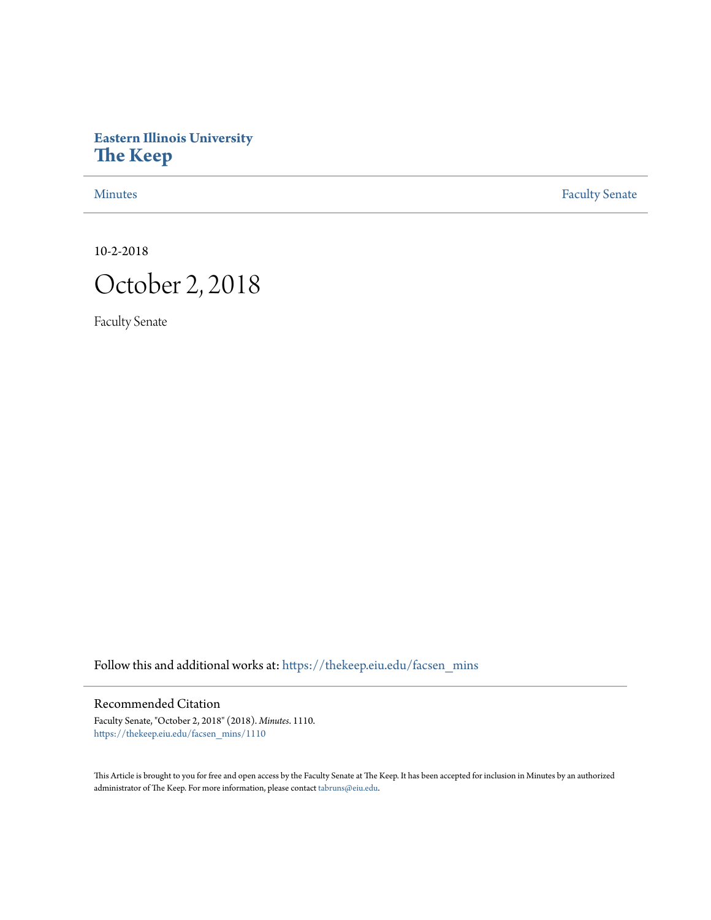## **Eastern Illinois University [The Keep](https://thekeep.eiu.edu?utm_source=thekeep.eiu.edu%2Ffacsen_mins%2F1110&utm_medium=PDF&utm_campaign=PDFCoverPages)**

[Minutes](https://thekeep.eiu.edu/facsen_mins?utm_source=thekeep.eiu.edu%2Ffacsen_mins%2F1110&utm_medium=PDF&utm_campaign=PDFCoverPages) **[Faculty Senate](https://thekeep.eiu.edu/fac_senate?utm_source=thekeep.eiu.edu%2Ffacsen_mins%2F1110&utm_medium=PDF&utm_campaign=PDFCoverPages)** 

10-2-2018



Faculty Senate

Follow this and additional works at: [https://thekeep.eiu.edu/facsen\\_mins](https://thekeep.eiu.edu/facsen_mins?utm_source=thekeep.eiu.edu%2Ffacsen_mins%2F1110&utm_medium=PDF&utm_campaign=PDFCoverPages)

## Recommended Citation

Faculty Senate, "October 2, 2018" (2018). *Minutes*. 1110. [https://thekeep.eiu.edu/facsen\\_mins/1110](https://thekeep.eiu.edu/facsen_mins/1110?utm_source=thekeep.eiu.edu%2Ffacsen_mins%2F1110&utm_medium=PDF&utm_campaign=PDFCoverPages)

This Article is brought to you for free and open access by the Faculty Senate at The Keep. It has been accepted for inclusion in Minutes by an authorized administrator of The Keep. For more information, please contact [tabruns@eiu.edu.](mailto:tabruns@eiu.edu)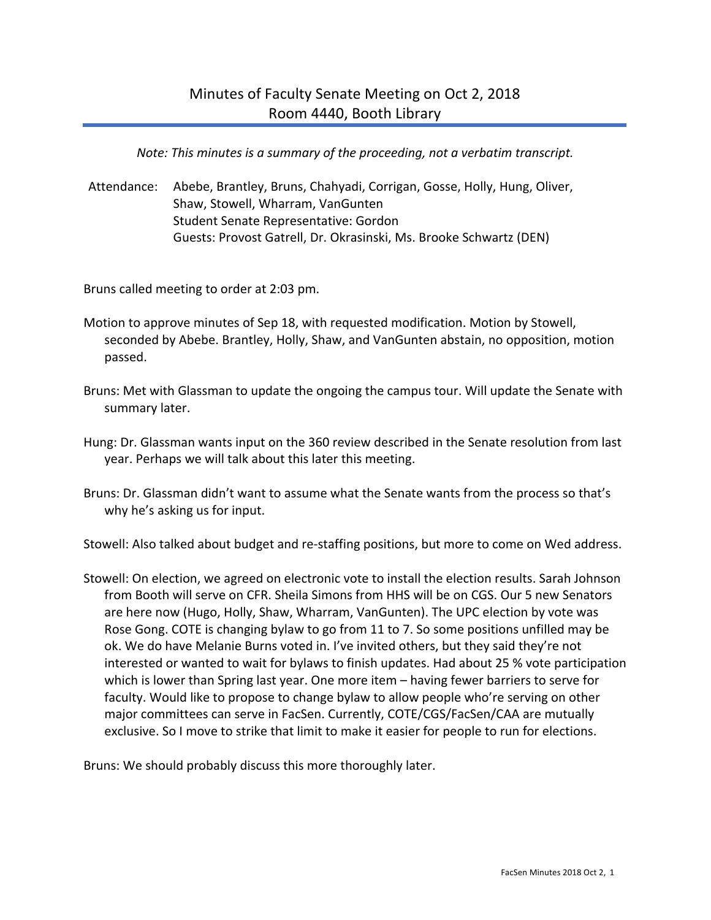*Note: This minutes is a summary of the proceeding, not a verbatim transcript.*

Attendance: Abebe, Brantley, Bruns, Chahyadi, Corrigan, Gosse, Holly, Hung, Oliver, Shaw, Stowell, Wharram, VanGunten Student Senate Representative: Gordon Guests: Provost Gatrell, Dr. Okrasinski, Ms. Brooke Schwartz (DEN)

Bruns called meeting to order at 2:03 pm.

- Motion to approve minutes of Sep 18, with requested modification. Motion by Stowell, seconded by Abebe. Brantley, Holly, Shaw, and VanGunten abstain, no opposition, motion passed.
- Bruns: Met with Glassman to update the ongoing the campus tour. Will update the Senate with summary later.
- Hung: Dr. Glassman wants input on the 360 review described in the Senate resolution from last year. Perhaps we will talk about this later this meeting.
- Bruns: Dr. Glassman didn't want to assume what the Senate wants from the process so that's why he's asking us for input.

Stowell: Also talked about budget and re-staffing positions, but more to come on Wed address.

Stowell: On election, we agreed on electronic vote to install the election results. Sarah Johnson from Booth will serve on CFR. Sheila Simons from HHS will be on CGS. Our 5 new Senators are here now (Hugo, Holly, Shaw, Wharram, VanGunten). The UPC election by vote was Rose Gong. COTE is changing bylaw to go from 11 to 7. So some positions unfilled may be ok. We do have Melanie Burns voted in. I've invited others, but they said they're not interested or wanted to wait for bylaws to finish updates. Had about 25 % vote participation which is lower than Spring last year. One more item – having fewer barriers to serve for faculty. Would like to propose to change bylaw to allow people who're serving on other major committees can serve in FacSen. Currently, COTE/CGS/FacSen/CAA are mutually exclusive. So I move to strike that limit to make it easier for people to run for elections.

Bruns: We should probably discuss this more thoroughly later.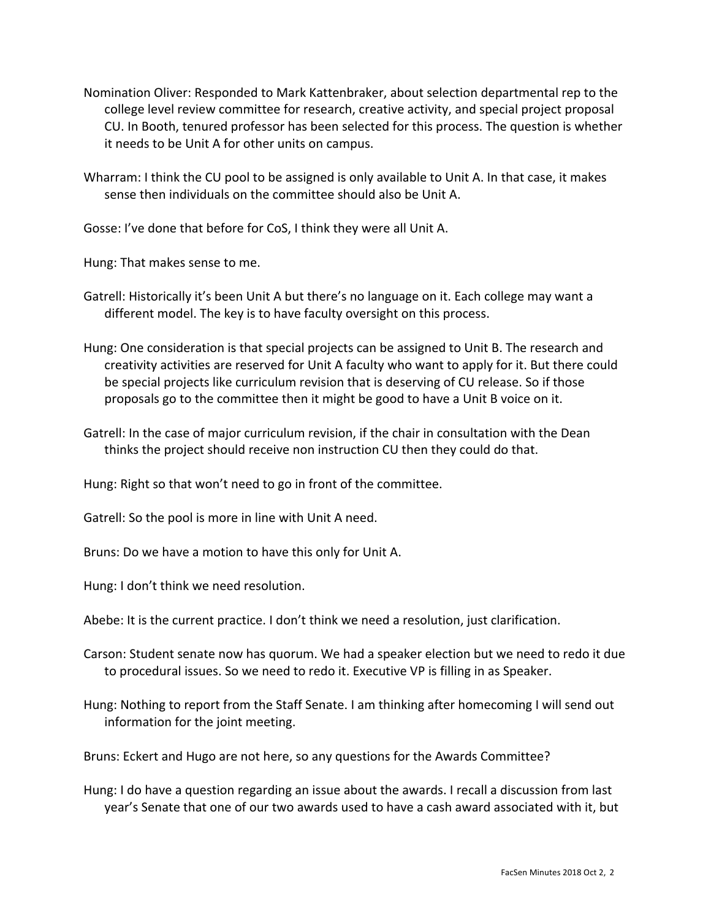- Nomination Oliver: Responded to Mark Kattenbraker, about selection departmental rep to the college level review committee for research, creative activity, and special project proposal CU. In Booth, tenured professor has been selected for this process. The question is whether it needs to be Unit A for other units on campus.
- Wharram: I think the CU pool to be assigned is only available to Unit A. In that case, it makes sense then individuals on the committee should also be Unit A.

Gosse: I've done that before for CoS, I think they were all Unit A.

Hung: That makes sense to me.

Gatrell: Historically it's been Unit A but there's no language on it. Each college may want a different model. The key is to have faculty oversight on this process.

Hung: One consideration is that special projects can be assigned to Unit B. The research and creativity activities are reserved for Unit A faculty who want to apply for it. But there could be special projects like curriculum revision that is deserving of CU release. So if those proposals go to the committee then it might be good to have a Unit B voice on it.

Gatrell: In the case of major curriculum revision, if the chair in consultation with the Dean thinks the project should receive non instruction CU then they could do that.

Hung: Right so that won't need to go in front of the committee.

Gatrell: So the pool is more in line with Unit A need.

Bruns: Do we have a motion to have this only for Unit A.

Hung: I don't think we need resolution.

Abebe: It is the current practice. I don't think we need a resolution, just clarification.

- Carson: Student senate now has quorum. We had a speaker election but we need to redo it due to procedural issues. So we need to redo it. Executive VP is filling in as Speaker.
- Hung: Nothing to report from the Staff Senate. I am thinking after homecoming I will send out information for the joint meeting.

Bruns: Eckert and Hugo are not here, so any questions for the Awards Committee?

Hung: I do have a question regarding an issue about the awards. I recall a discussion from last year's Senate that one of our two awards used to have a cash award associated with it, but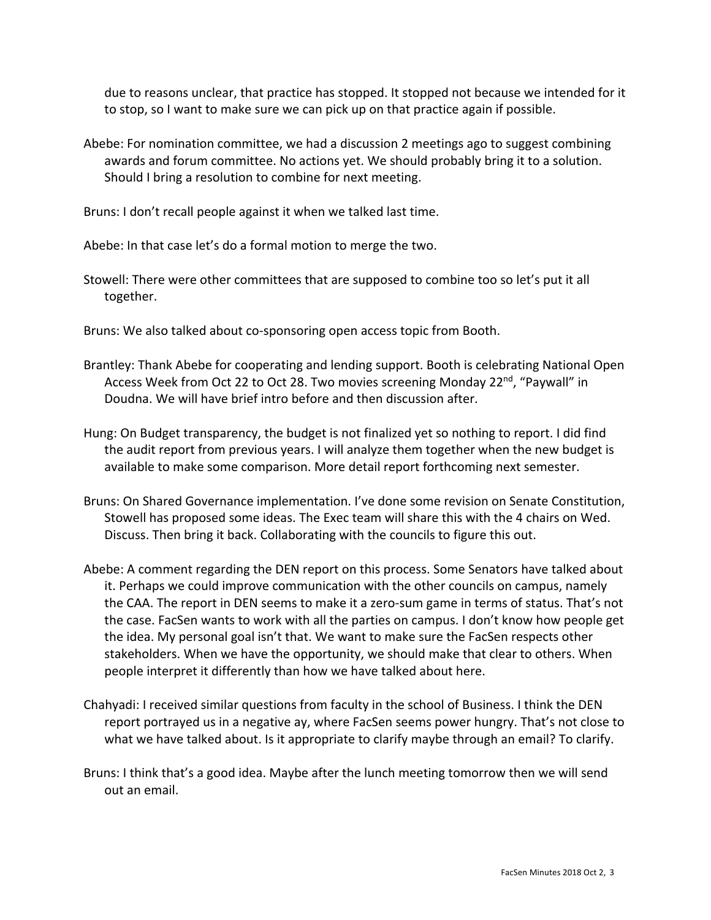due to reasons unclear, that practice has stopped. It stopped not because we intended for it to stop, so I want to make sure we can pick up on that practice again if possible.

Abebe: For nomination committee, we had a discussion 2 meetings ago to suggest combining awards and forum committee. No actions yet. We should probably bring it to a solution. Should I bring a resolution to combine for next meeting.

Bruns: I don't recall people against it when we talked last time.

Abebe: In that case let's do a formal motion to merge the two.

Stowell: There were other committees that are supposed to combine too so let's put it all together.

Bruns: We also talked about co-sponsoring open access topic from Booth.

- Brantley: Thank Abebe for cooperating and lending support. Booth is celebrating National Open Access Week from Oct 22 to Oct 28. Two movies screening Monday 22<sup>nd</sup>, "Paywall" in Doudna. We will have brief intro before and then discussion after.
- Hung: On Budget transparency, the budget is not finalized yet so nothing to report. I did find the audit report from previous years. I will analyze them together when the new budget is available to make some comparison. More detail report forthcoming next semester.
- Bruns: On Shared Governance implementation. I've done some revision on Senate Constitution, Stowell has proposed some ideas. The Exec team will share this with the 4 chairs on Wed. Discuss. Then bring it back. Collaborating with the councils to figure this out.
- Abebe: A comment regarding the DEN report on this process. Some Senators have talked about it. Perhaps we could improve communication with the other councils on campus, namely the CAA. The report in DEN seems to make it a zero-sum game in terms of status. That's not the case. FacSen wants to work with all the parties on campus. I don't know how people get the idea. My personal goal isn't that. We want to make sure the FacSen respects other stakeholders. When we have the opportunity, we should make that clear to others. When people interpret it differently than how we have talked about here.
- Chahyadi: I received similar questions from faculty in the school of Business. I think the DEN report portrayed us in a negative ay, where FacSen seems power hungry. That's not close to what we have talked about. Is it appropriate to clarify maybe through an email? To clarify.
- Bruns: I think that's a good idea. Maybe after the lunch meeting tomorrow then we will send out an email.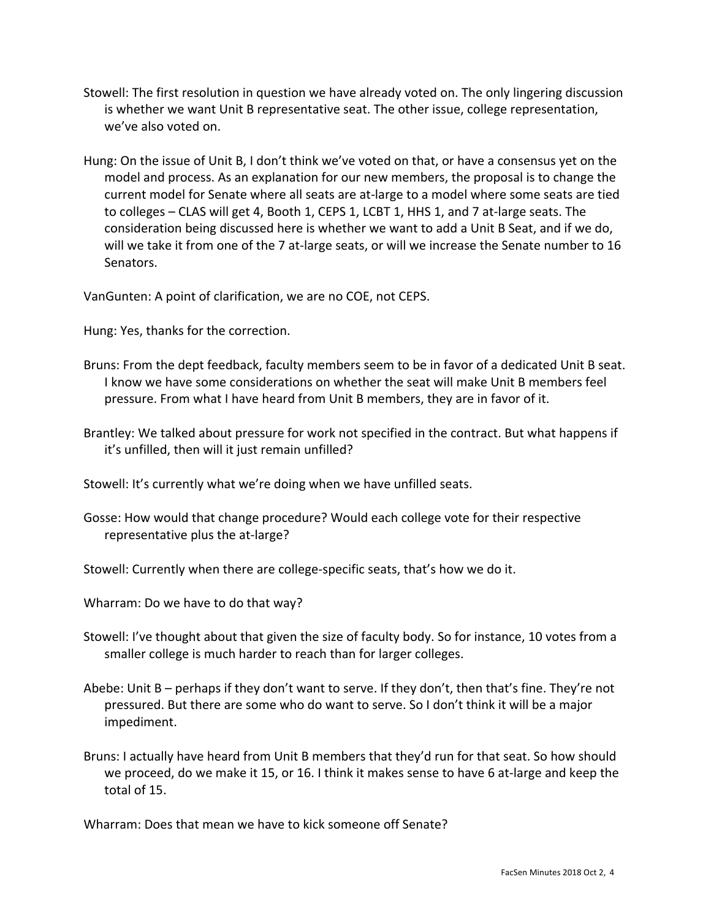- Stowell: The first resolution in question we have already voted on. The only lingering discussion is whether we want Unit B representative seat. The other issue, college representation, we've also voted on.
- Hung: On the issue of Unit B, I don't think we've voted on that, or have a consensus yet on the model and process. As an explanation for our new members, the proposal is to change the current model for Senate where all seats are at-large to a model where some seats are tied to colleges – CLAS will get 4, Booth 1, CEPS 1, LCBT 1, HHS 1, and 7 at-large seats. The consideration being discussed here is whether we want to add a Unit B Seat, and if we do, will we take it from one of the 7 at-large seats, or will we increase the Senate number to 16 Senators.

VanGunten: A point of clarification, we are no COE, not CEPS.

Hung: Yes, thanks for the correction.

- Bruns: From the dept feedback, faculty members seem to be in favor of a dedicated Unit B seat. I know we have some considerations on whether the seat will make Unit B members feel pressure. From what I have heard from Unit B members, they are in favor of it.
- Brantley: We talked about pressure for work not specified in the contract. But what happens if it's unfilled, then will it just remain unfilled?

Stowell: It's currently what we're doing when we have unfilled seats.

Gosse: How would that change procedure? Would each college vote for their respective representative plus the at-large?

Stowell: Currently when there are college-specific seats, that's how we do it.

Wharram: Do we have to do that way?

- Stowell: I've thought about that given the size of faculty body. So for instance, 10 votes from a smaller college is much harder to reach than for larger colleges.
- Abebe: Unit B perhaps if they don't want to serve. If they don't, then that's fine. They're not pressured. But there are some who do want to serve. So I don't think it will be a major impediment.
- Bruns: I actually have heard from Unit B members that they'd run for that seat. So how should we proceed, do we make it 15, or 16. I think it makes sense to have 6 at-large and keep the total of 15.

Wharram: Does that mean we have to kick someone off Senate?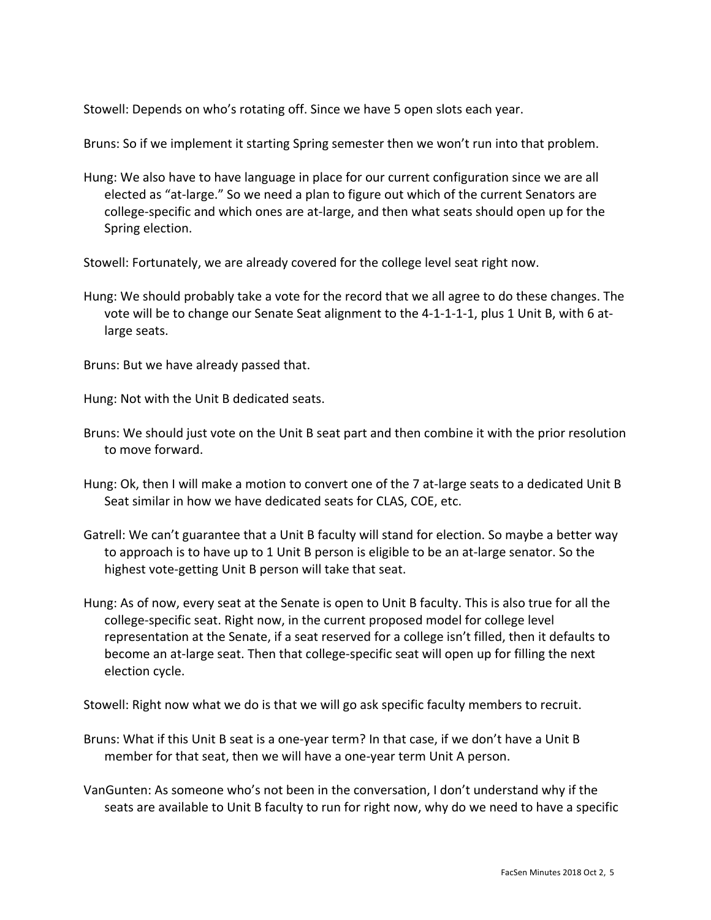Stowell: Depends on who's rotating off. Since we have 5 open slots each year.

Bruns: So if we implement it starting Spring semester then we won't run into that problem.

Hung: We also have to have language in place for our current configuration since we are all elected as "at-large." So we need a plan to figure out which of the current Senators are college-specific and which ones are at-large, and then what seats should open up for the Spring election.

Stowell: Fortunately, we are already covered for the college level seat right now.

Hung: We should probably take a vote for the record that we all agree to do these changes. The vote will be to change our Senate Seat alignment to the 4-1-1-1-1, plus 1 Unit B, with 6 atlarge seats.

Bruns: But we have already passed that.

Hung: Not with the Unit B dedicated seats.

- Bruns: We should just vote on the Unit B seat part and then combine it with the prior resolution to move forward.
- Hung: Ok, then I will make a motion to convert one of the 7 at-large seats to a dedicated Unit B Seat similar in how we have dedicated seats for CLAS, COE, etc.
- Gatrell: We can't guarantee that a Unit B faculty will stand for election. So maybe a better way to approach is to have up to 1 Unit B person is eligible to be an at-large senator. So the highest vote-getting Unit B person will take that seat.
- Hung: As of now, every seat at the Senate is open to Unit B faculty. This is also true for all the college-specific seat. Right now, in the current proposed model for college level representation at the Senate, if a seat reserved for a college isn't filled, then it defaults to become an at-large seat. Then that college-specific seat will open up for filling the next election cycle.

Stowell: Right now what we do is that we will go ask specific faculty members to recruit.

- Bruns: What if this Unit B seat is a one-year term? In that case, if we don't have a Unit B member for that seat, then we will have a one-year term Unit A person.
- VanGunten: As someone who's not been in the conversation, I don't understand why if the seats are available to Unit B faculty to run for right now, why do we need to have a specific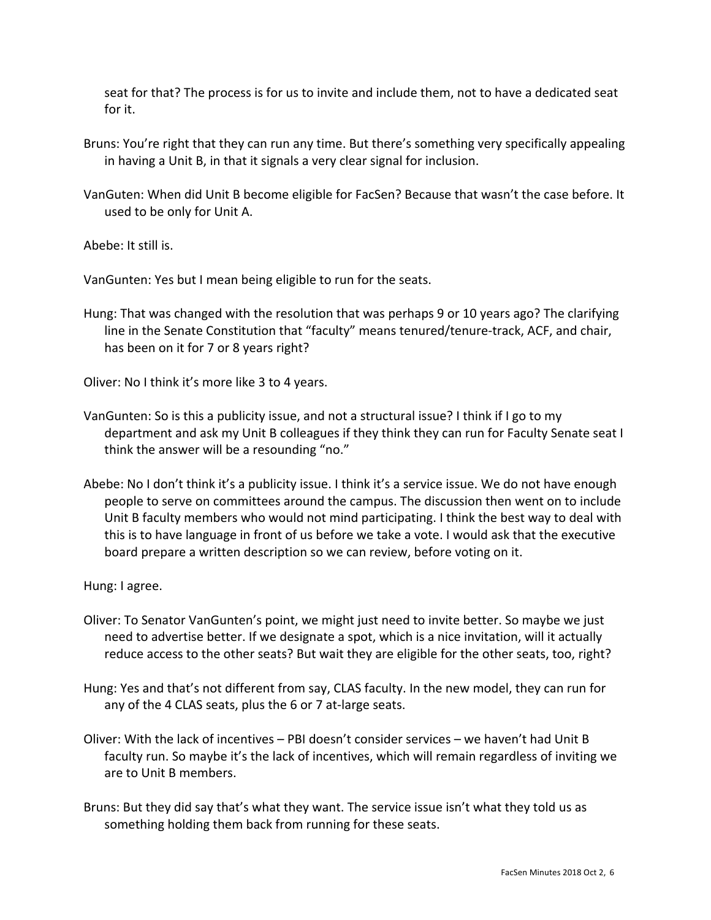seat for that? The process is for us to invite and include them, not to have a dedicated seat for it.

- Bruns: You're right that they can run any time. But there's something very specifically appealing in having a Unit B, in that it signals a very clear signal for inclusion.
- VanGuten: When did Unit B become eligible for FacSen? Because that wasn't the case before. It used to be only for Unit A.

Abebe: It still is.

VanGunten: Yes but I mean being eligible to run for the seats.

Hung: That was changed with the resolution that was perhaps 9 or 10 years ago? The clarifying line in the Senate Constitution that "faculty" means tenured/tenure-track, ACF, and chair, has been on it for 7 or 8 years right?

Oliver: No I think it's more like 3 to 4 years.

- VanGunten: So is this a publicity issue, and not a structural issue? I think if I go to my department and ask my Unit B colleagues if they think they can run for Faculty Senate seat I think the answer will be a resounding "no."
- Abebe: No I don't think it's a publicity issue. I think it's a service issue. We do not have enough people to serve on committees around the campus. The discussion then went on to include Unit B faculty members who would not mind participating. I think the best way to deal with this is to have language in front of us before we take a vote. I would ask that the executive board prepare a written description so we can review, before voting on it.

Hung: I agree.

- Oliver: To Senator VanGunten's point, we might just need to invite better. So maybe we just need to advertise better. If we designate a spot, which is a nice invitation, will it actually reduce access to the other seats? But wait they are eligible for the other seats, too, right?
- Hung: Yes and that's not different from say, CLAS faculty. In the new model, they can run for any of the 4 CLAS seats, plus the 6 or 7 at-large seats.
- Oliver: With the lack of incentives PBI doesn't consider services we haven't had Unit B faculty run. So maybe it's the lack of incentives, which will remain regardless of inviting we are to Unit B members.
- Bruns: But they did say that's what they want. The service issue isn't what they told us as something holding them back from running for these seats.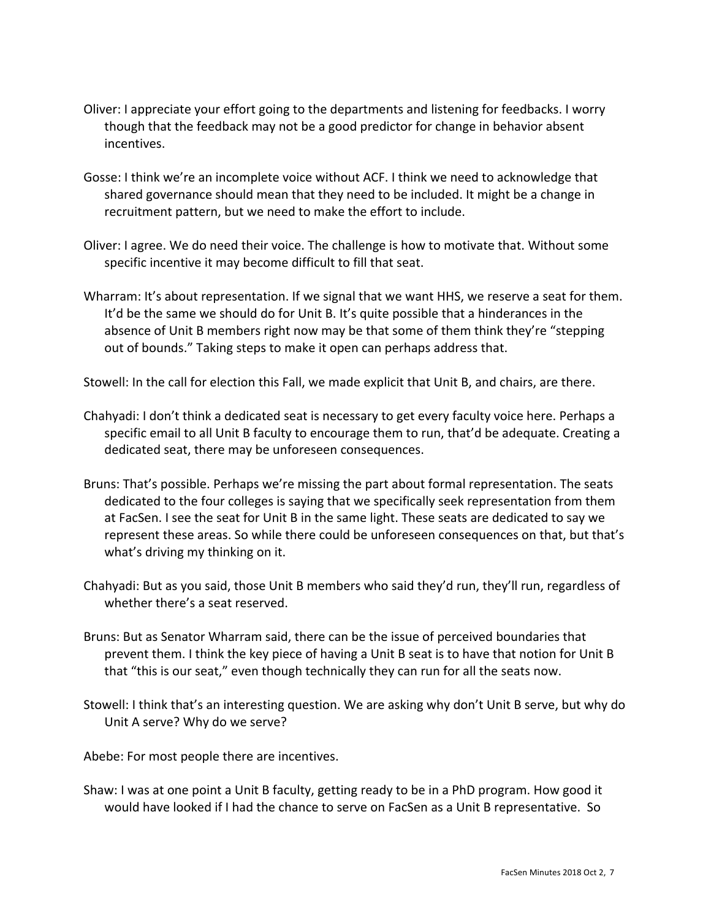- Oliver: I appreciate your effort going to the departments and listening for feedbacks. I worry though that the feedback may not be a good predictor for change in behavior absent incentives.
- Gosse: I think we're an incomplete voice without ACF. I think we need to acknowledge that shared governance should mean that they need to be included. It might be a change in recruitment pattern, but we need to make the effort to include.
- Oliver: I agree. We do need their voice. The challenge is how to motivate that. Without some specific incentive it may become difficult to fill that seat.
- Wharram: It's about representation. If we signal that we want HHS, we reserve a seat for them. It'd be the same we should do for Unit B. It's quite possible that a hinderances in the absence of Unit B members right now may be that some of them think they're "stepping out of bounds." Taking steps to make it open can perhaps address that.

Stowell: In the call for election this Fall, we made explicit that Unit B, and chairs, are there.

- Chahyadi: I don't think a dedicated seat is necessary to get every faculty voice here. Perhaps a specific email to all Unit B faculty to encourage them to run, that'd be adequate. Creating a dedicated seat, there may be unforeseen consequences.
- Bruns: That's possible. Perhaps we're missing the part about formal representation. The seats dedicated to the four colleges is saying that we specifically seek representation from them at FacSen. I see the seat for Unit B in the same light. These seats are dedicated to say we represent these areas. So while there could be unforeseen consequences on that, but that's what's driving my thinking on it.
- Chahyadi: But as you said, those Unit B members who said they'd run, they'll run, regardless of whether there's a seat reserved.
- Bruns: But as Senator Wharram said, there can be the issue of perceived boundaries that prevent them. I think the key piece of having a Unit B seat is to have that notion for Unit B that "this is our seat," even though technically they can run for all the seats now.
- Stowell: I think that's an interesting question. We are asking why don't Unit B serve, but why do Unit A serve? Why do we serve?

Abebe: For most people there are incentives.

Shaw: I was at one point a Unit B faculty, getting ready to be in a PhD program. How good it would have looked if I had the chance to serve on FacSen as a Unit B representative. So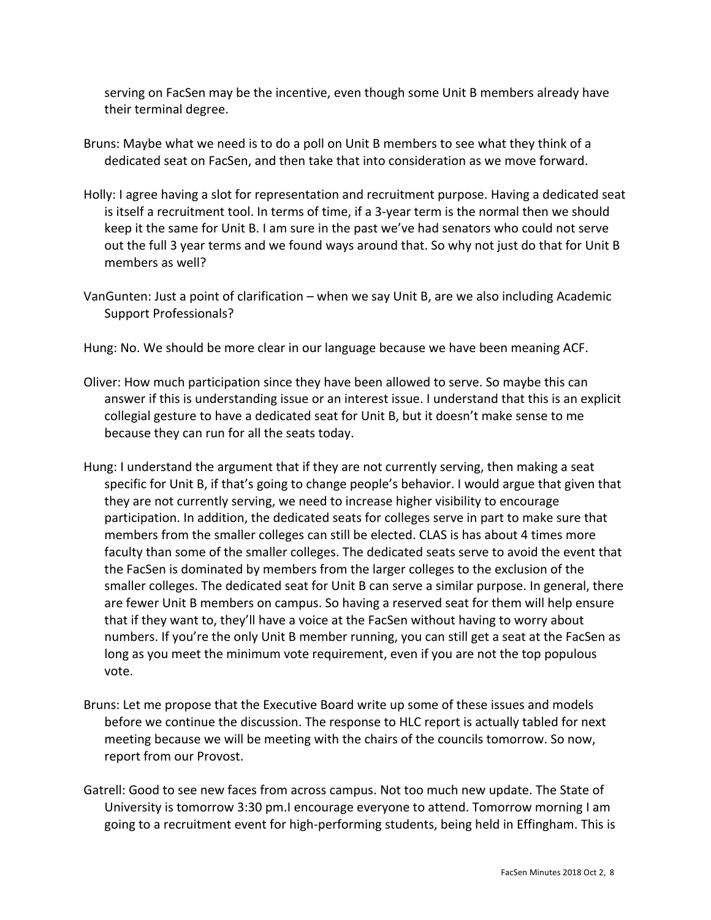serving on FacSen may be the incentive, even though some Unit B members already have their terminal degree.

- Bruns: Maybe what we need is to do a poll on Unit B members to see what they think of a dedicated seat on FacSen, and then take that into consideration as we move forward.
- Holly: I agree having a slot for representation and recruitment purpose. Having a dedicated seat is itself a recruitment tool. In terms of time, if a 3-year term is the normal then we should keep it the same for Unit B. I am sure in the past we've had senators who could not serve out the full 3 year terms and we found ways around that. So why not just do that for Unit B members as well?
- VanGunten: Just a point of clarification when we say Unit B, are we also including Academic Support Professionals?

Hung: No. We should be more clear in our language because we have been meaning ACF.

- Oliver: How much participation since they have been allowed to serve. So maybe this can answer if this is understanding issue or an interest issue. I understand that this is an explicit collegial gesture to have a dedicated seat for Unit B, but it doesn't make sense to me because they can run for all the seats today.
- Hung: I understand the argument that if they are not currently serving, then making a seat specific for Unit B, if that's going to change people's behavior. I would argue that given that they are not currently serving, we need to increase higher visibility to encourage participation. In addition, the dedicated seats for colleges serve in part to make sure that members from the smaller colleges can still be elected. CLAS is has about 4 times more faculty than some of the smaller colleges. The dedicated seats serve to avoid the event that the FacSen is dominated by members from the larger colleges to the exclusion of the smaller colleges. The dedicated seat for Unit B can serve a similar purpose. In general, there are fewer Unit B members on campus. So having a reserved seat for them will help ensure that if they want to, they'll have a voice at the FacSen without having to worry about numbers. If you're the only Unit B member running, you can still get a seat at the FacSen as long as you meet the minimum vote requirement, even if you are not the top populous vote.
- Bruns: Let me propose that the Executive Board write up some of these issues and models before we continue the discussion. The response to HLC report is actually tabled for next meeting because we will be meeting with the chairs of the councils tomorrow. So now, report from our Provost.
- Gatrell: Good to see new faces from across campus. Not too much new update. The State of University is tomorrow 3:30 pm.I encourage everyone to attend. Tomorrow morning I am going to a recruitment event for high-performing students, being held in Effingham. This is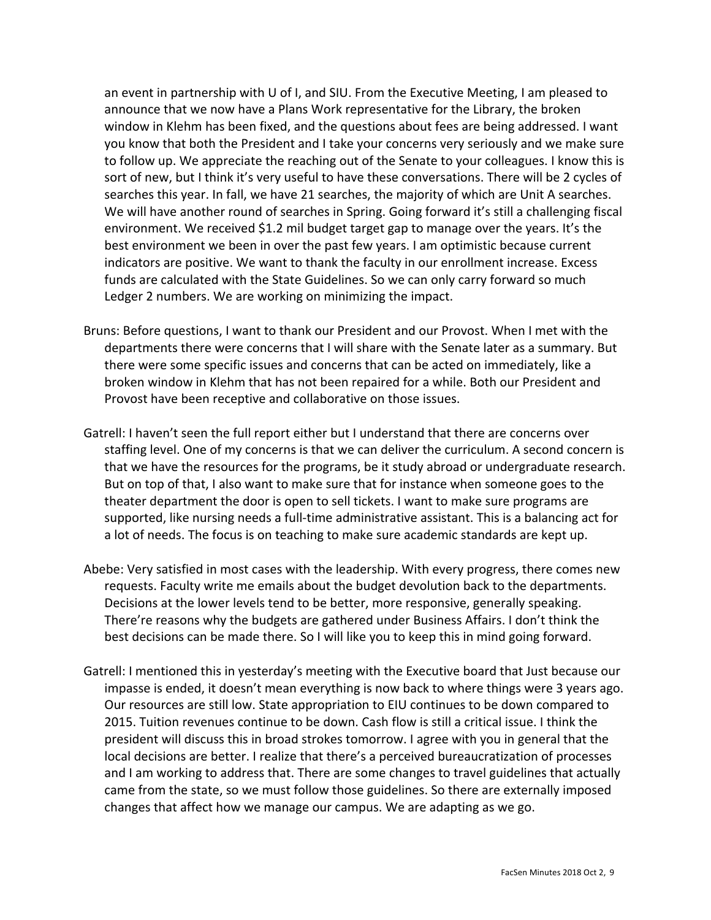an event in partnership with U of I, and SIU. From the Executive Meeting, I am pleased to announce that we now have a Plans Work representative for the Library, the broken window in Klehm has been fixed, and the questions about fees are being addressed. I want you know that both the President and I take your concerns very seriously and we make sure to follow up. We appreciate the reaching out of the Senate to your colleagues. I know this is sort of new, but I think it's very useful to have these conversations. There will be 2 cycles of searches this year. In fall, we have 21 searches, the majority of which are Unit A searches. We will have another round of searches in Spring. Going forward it's still a challenging fiscal environment. We received \$1.2 mil budget target gap to manage over the years. It's the best environment we been in over the past few years. I am optimistic because current indicators are positive. We want to thank the faculty in our enrollment increase. Excess funds are calculated with the State Guidelines. So we can only carry forward so much Ledger 2 numbers. We are working on minimizing the impact.

- Bruns: Before questions, I want to thank our President and our Provost. When I met with the departments there were concerns that I will share with the Senate later as a summary. But there were some specific issues and concerns that can be acted on immediately, like a broken window in Klehm that has not been repaired for a while. Both our President and Provost have been receptive and collaborative on those issues.
- Gatrell: I haven't seen the full report either but I understand that there are concerns over staffing level. One of my concerns is that we can deliver the curriculum. A second concern is that we have the resources for the programs, be it study abroad or undergraduate research. But on top of that, I also want to make sure that for instance when someone goes to the theater department the door is open to sell tickets. I want to make sure programs are supported, like nursing needs a full-time administrative assistant. This is a balancing act for a lot of needs. The focus is on teaching to make sure academic standards are kept up.
- Abebe: Very satisfied in most cases with the leadership. With every progress, there comes new requests. Faculty write me emails about the budget devolution back to the departments. Decisions at the lower levels tend to be better, more responsive, generally speaking. There're reasons why the budgets are gathered under Business Affairs. I don't think the best decisions can be made there. So I will like you to keep this in mind going forward.
- Gatrell: I mentioned this in yesterday's meeting with the Executive board that Just because our impasse is ended, it doesn't mean everything is now back to where things were 3 years ago. Our resources are still low. State appropriation to EIU continues to be down compared to 2015. Tuition revenues continue to be down. Cash flow is still a critical issue. I think the president will discuss this in broad strokes tomorrow. I agree with you in general that the local decisions are better. I realize that there's a perceived bureaucratization of processes and I am working to address that. There are some changes to travel guidelines that actually came from the state, so we must follow those guidelines. So there are externally imposed changes that affect how we manage our campus. We are adapting as we go.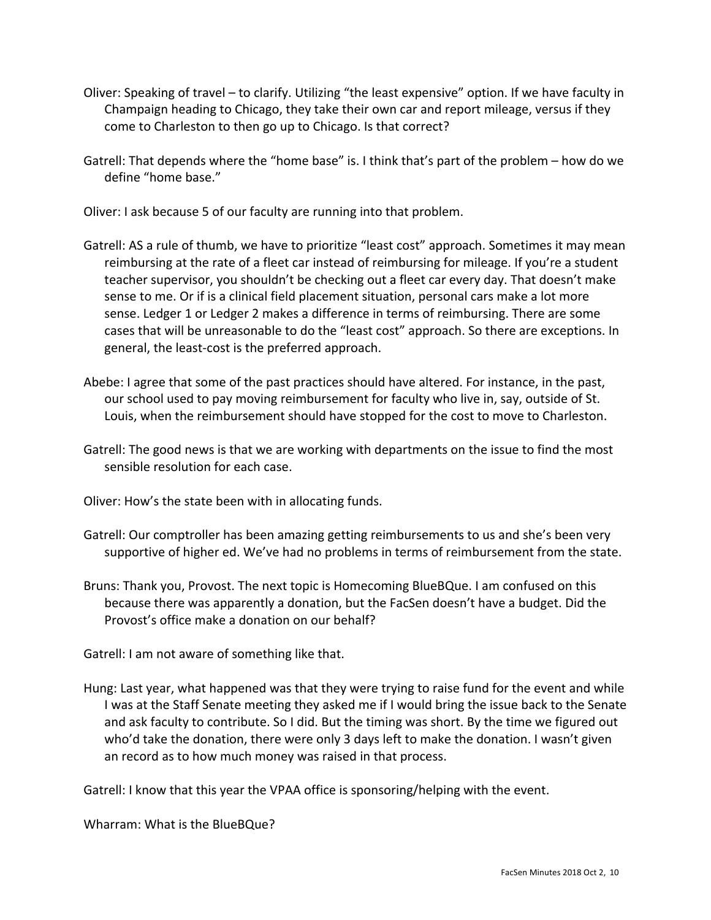- Oliver: Speaking of travel to clarify. Utilizing "the least expensive" option. If we have faculty in Champaign heading to Chicago, they take their own car and report mileage, versus if they come to Charleston to then go up to Chicago. Is that correct?
- Gatrell: That depends where the "home base" is. I think that's part of the problem how do we define "home base."

Oliver: I ask because 5 of our faculty are running into that problem.

- Gatrell: AS a rule of thumb, we have to prioritize "least cost" approach. Sometimes it may mean reimbursing at the rate of a fleet car instead of reimbursing for mileage. If you're a student teacher supervisor, you shouldn't be checking out a fleet car every day. That doesn't make sense to me. Or if is a clinical field placement situation, personal cars make a lot more sense. Ledger 1 or Ledger 2 makes a difference in terms of reimbursing. There are some cases that will be unreasonable to do the "least cost" approach. So there are exceptions. In general, the least-cost is the preferred approach.
- Abebe: I agree that some of the past practices should have altered. For instance, in the past, our school used to pay moving reimbursement for faculty who live in, say, outside of St. Louis, when the reimbursement should have stopped for the cost to move to Charleston.
- Gatrell: The good news is that we are working with departments on the issue to find the most sensible resolution for each case.

Oliver: How's the state been with in allocating funds.

- Gatrell: Our comptroller has been amazing getting reimbursements to us and she's been very supportive of higher ed. We've had no problems in terms of reimbursement from the state.
- Bruns: Thank you, Provost. The next topic is Homecoming BlueBQue. I am confused on this because there was apparently a donation, but the FacSen doesn't have a budget. Did the Provost's office make a donation on our behalf?

Gatrell: I am not aware of something like that.

Hung: Last year, what happened was that they were trying to raise fund for the event and while I was at the Staff Senate meeting they asked me if I would bring the issue back to the Senate and ask faculty to contribute. So I did. But the timing was short. By the time we figured out who'd take the donation, there were only 3 days left to make the donation. I wasn't given an record as to how much money was raised in that process.

Gatrell: I know that this year the VPAA office is sponsoring/helping with the event.

Wharram: What is the BlueBQue?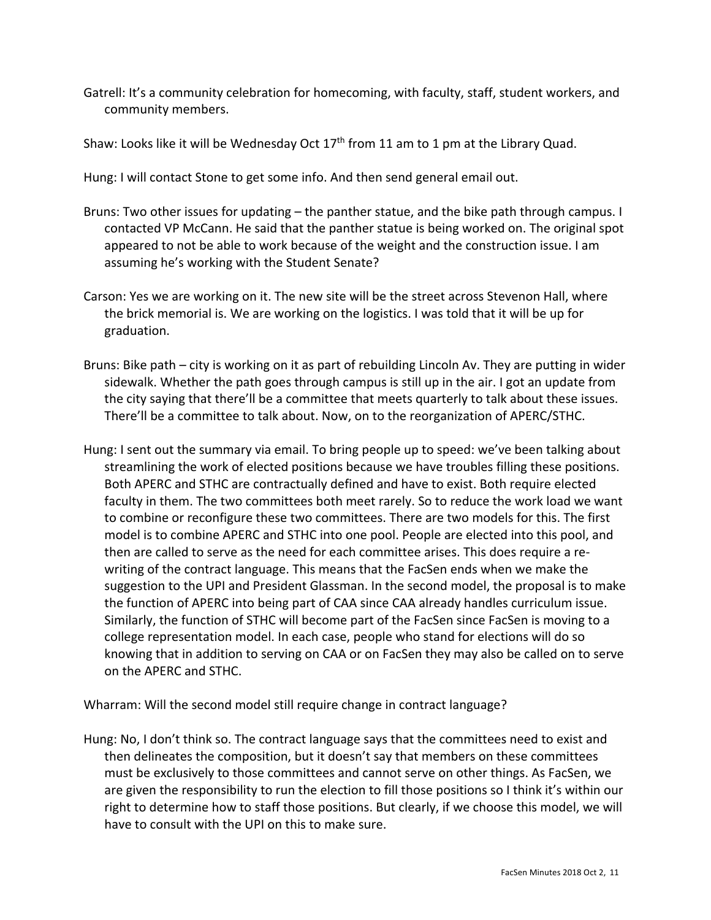Gatrell: It's a community celebration for homecoming, with faculty, staff, student workers, and community members.

Shaw: Looks like it will be Wednesday Oct  $17<sup>th</sup>$  from 11 am to 1 pm at the Library Quad.

Hung: I will contact Stone to get some info. And then send general email out.

- Bruns: Two other issues for updating the panther statue, and the bike path through campus. I contacted VP McCann. He said that the panther statue is being worked on. The original spot appeared to not be able to work because of the weight and the construction issue. I am assuming he's working with the Student Senate?
- Carson: Yes we are working on it. The new site will be the street across Stevenon Hall, where the brick memorial is. We are working on the logistics. I was told that it will be up for graduation.
- Bruns: Bike path city is working on it as part of rebuilding Lincoln Av. They are putting in wider sidewalk. Whether the path goes through campus is still up in the air. I got an update from the city saying that there'll be a committee that meets quarterly to talk about these issues. There'll be a committee to talk about. Now, on to the reorganization of APERC/STHC.
- Hung: I sent out the summary via email. To bring people up to speed: we've been talking about streamlining the work of elected positions because we have troubles filling these positions. Both APERC and STHC are contractually defined and have to exist. Both require elected faculty in them. The two committees both meet rarely. So to reduce the work load we want to combine or reconfigure these two committees. There are two models for this. The first model is to combine APERC and STHC into one pool. People are elected into this pool, and then are called to serve as the need for each committee arises. This does require a rewriting of the contract language. This means that the FacSen ends when we make the suggestion to the UPI and President Glassman. In the second model, the proposal is to make the function of APERC into being part of CAA since CAA already handles curriculum issue. Similarly, the function of STHC will become part of the FacSen since FacSen is moving to a college representation model. In each case, people who stand for elections will do so knowing that in addition to serving on CAA or on FacSen they may also be called on to serve on the APERC and STHC.

Wharram: Will the second model still require change in contract language?

Hung: No, I don't think so. The contract language says that the committees need to exist and then delineates the composition, but it doesn't say that members on these committees must be exclusively to those committees and cannot serve on other things. As FacSen, we are given the responsibility to run the election to fill those positions so I think it's within our right to determine how to staff those positions. But clearly, if we choose this model, we will have to consult with the UPI on this to make sure.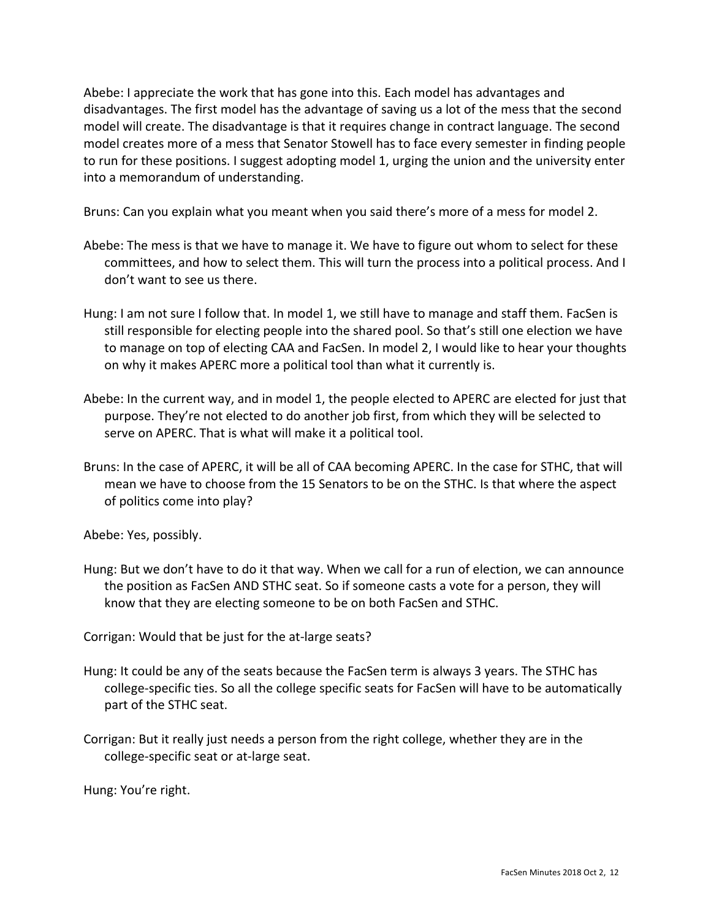Abebe: I appreciate the work that has gone into this. Each model has advantages and disadvantages. The first model has the advantage of saving us a lot of the mess that the second model will create. The disadvantage is that it requires change in contract language. The second model creates more of a mess that Senator Stowell has to face every semester in finding people to run for these positions. I suggest adopting model 1, urging the union and the university enter into a memorandum of understanding.

Bruns: Can you explain what you meant when you said there's more of a mess for model 2.

- Abebe: The mess is that we have to manage it. We have to figure out whom to select for these committees, and how to select them. This will turn the process into a political process. And I don't want to see us there.
- Hung: I am not sure I follow that. In model 1, we still have to manage and staff them. FacSen is still responsible for electing people into the shared pool. So that's still one election we have to manage on top of electing CAA and FacSen. In model 2, I would like to hear your thoughts on why it makes APERC more a political tool than what it currently is.
- Abebe: In the current way, and in model 1, the people elected to APERC are elected for just that purpose. They're not elected to do another job first, from which they will be selected to serve on APERC. That is what will make it a political tool.
- Bruns: In the case of APERC, it will be all of CAA becoming APERC. In the case for STHC, that will mean we have to choose from the 15 Senators to be on the STHC. Is that where the aspect of politics come into play?

Abebe: Yes, possibly.

Hung: But we don't have to do it that way. When we call for a run of election, we can announce the position as FacSen AND STHC seat. So if someone casts a vote for a person, they will know that they are electing someone to be on both FacSen and STHC.

Corrigan: Would that be just for the at-large seats?

- Hung: It could be any of the seats because the FacSen term is always 3 years. The STHC has college-specific ties. So all the college specific seats for FacSen will have to be automatically part of the STHC seat.
- Corrigan: But it really just needs a person from the right college, whether they are in the college-specific seat or at-large seat.

Hung: You're right.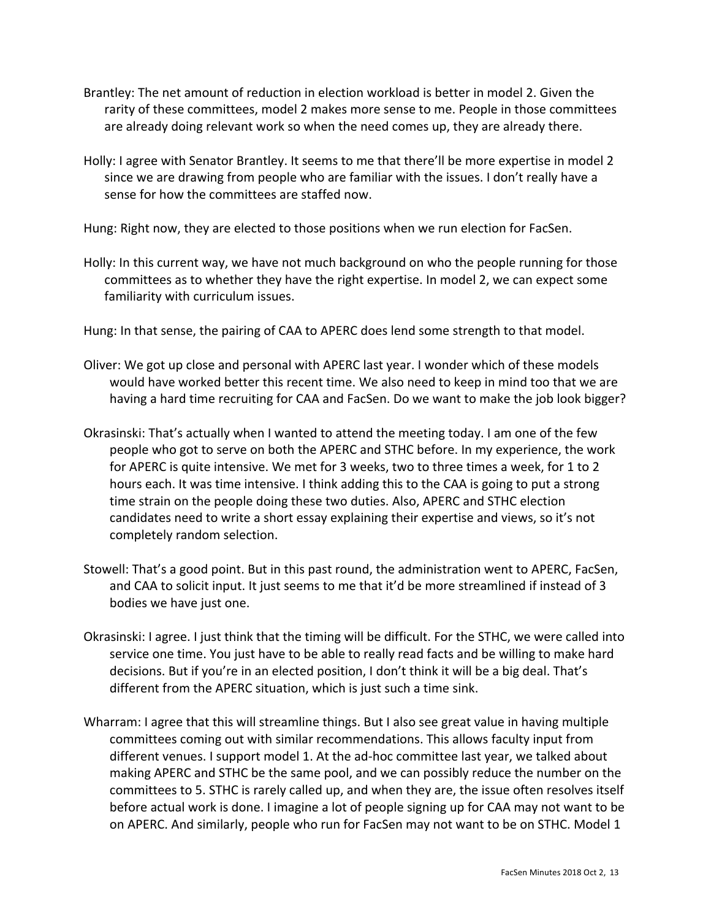- Brantley: The net amount of reduction in election workload is better in model 2. Given the rarity of these committees, model 2 makes more sense to me. People in those committees are already doing relevant work so when the need comes up, they are already there.
- Holly: I agree with Senator Brantley. It seems to me that there'll be more expertise in model 2 since we are drawing from people who are familiar with the issues. I don't really have a sense for how the committees are staffed now.

Hung: Right now, they are elected to those positions when we run election for FacSen.

Holly: In this current way, we have not much background on who the people running for those committees as to whether they have the right expertise. In model 2, we can expect some familiarity with curriculum issues.

Hung: In that sense, the pairing of CAA to APERC does lend some strength to that model.

- Oliver: We got up close and personal with APERC last year. I wonder which of these models would have worked better this recent time. We also need to keep in mind too that we are having a hard time recruiting for CAA and FacSen. Do we want to make the job look bigger?
- Okrasinski: That's actually when I wanted to attend the meeting today. I am one of the few people who got to serve on both the APERC and STHC before. In my experience, the work for APERC is quite intensive. We met for 3 weeks, two to three times a week, for 1 to 2 hours each. It was time intensive. I think adding this to the CAA is going to put a strong time strain on the people doing these two duties. Also, APERC and STHC election candidates need to write a short essay explaining their expertise and views, so it's not completely random selection.
- Stowell: That's a good point. But in this past round, the administration went to APERC, FacSen, and CAA to solicit input. It just seems to me that it'd be more streamlined if instead of 3 bodies we have just one.
- Okrasinski: I agree. I just think that the timing will be difficult. For the STHC, we were called into service one time. You just have to be able to really read facts and be willing to make hard decisions. But if you're in an elected position, I don't think it will be a big deal. That's different from the APERC situation, which is just such a time sink.
- Wharram: I agree that this will streamline things. But I also see great value in having multiple committees coming out with similar recommendations. This allows faculty input from different venues. I support model 1. At the ad-hoc committee last year, we talked about making APERC and STHC be the same pool, and we can possibly reduce the number on the committees to 5. STHC is rarely called up, and when they are, the issue often resolves itself before actual work is done. I imagine a lot of people signing up for CAA may not want to be on APERC. And similarly, people who run for FacSen may not want to be on STHC. Model 1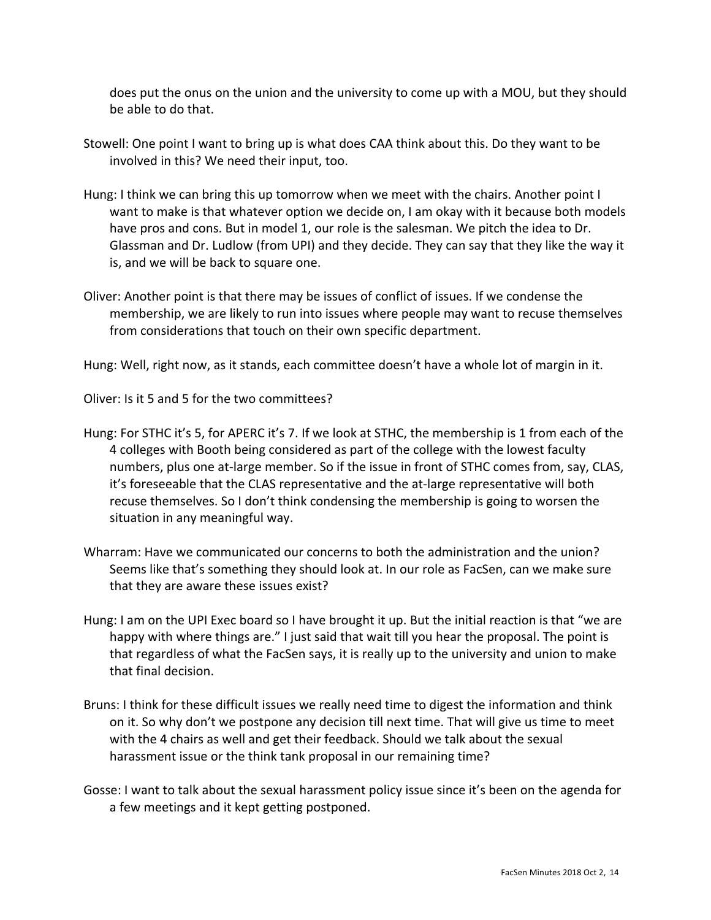does put the onus on the union and the university to come up with a MOU, but they should be able to do that.

- Stowell: One point I want to bring up is what does CAA think about this. Do they want to be involved in this? We need their input, too.
- Hung: I think we can bring this up tomorrow when we meet with the chairs. Another point I want to make is that whatever option we decide on, I am okay with it because both models have pros and cons. But in model 1, our role is the salesman. We pitch the idea to Dr. Glassman and Dr. Ludlow (from UPI) and they decide. They can say that they like the way it is, and we will be back to square one.
- Oliver: Another point is that there may be issues of conflict of issues. If we condense the membership, we are likely to run into issues where people may want to recuse themselves from considerations that touch on their own specific department.

Hung: Well, right now, as it stands, each committee doesn't have a whole lot of margin in it.

Oliver: Is it 5 and 5 for the two committees?

- Hung: For STHC it's 5, for APERC it's 7. If we look at STHC, the membership is 1 from each of the 4 colleges with Booth being considered as part of the college with the lowest faculty numbers, plus one at-large member. So if the issue in front of STHC comes from, say, CLAS, it's foreseeable that the CLAS representative and the at-large representative will both recuse themselves. So I don't think condensing the membership is going to worsen the situation in any meaningful way.
- Wharram: Have we communicated our concerns to both the administration and the union? Seems like that's something they should look at. In our role as FacSen, can we make sure that they are aware these issues exist?
- Hung: I am on the UPI Exec board so I have brought it up. But the initial reaction is that "we are happy with where things are." I just said that wait till you hear the proposal. The point is that regardless of what the FacSen says, it is really up to the university and union to make that final decision.
- Bruns: I think for these difficult issues we really need time to digest the information and think on it. So why don't we postpone any decision till next time. That will give us time to meet with the 4 chairs as well and get their feedback. Should we talk about the sexual harassment issue or the think tank proposal in our remaining time?
- Gosse: I want to talk about the sexual harassment policy issue since it's been on the agenda for a few meetings and it kept getting postponed.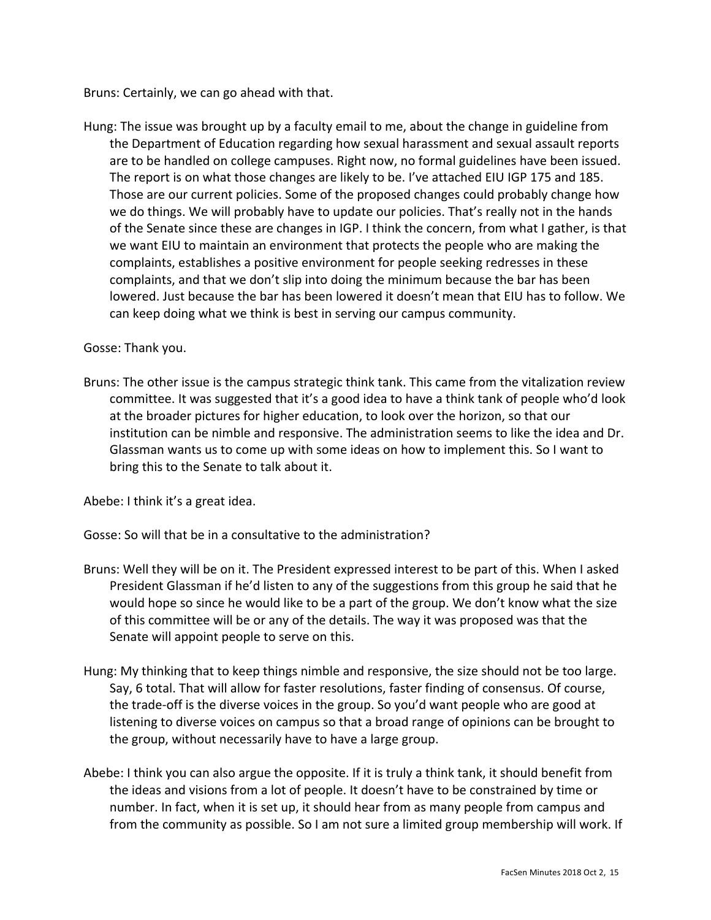Bruns: Certainly, we can go ahead with that.

Hung: The issue was brought up by a faculty email to me, about the change in guideline from the Department of Education regarding how sexual harassment and sexual assault reports are to be handled on college campuses. Right now, no formal guidelines have been issued. The report is on what those changes are likely to be. I've attached EIU IGP 175 and 185. Those are our current policies. Some of the proposed changes could probably change how we do things. We will probably have to update our policies. That's really not in the hands of the Senate since these are changes in IGP. I think the concern, from what I gather, is that we want EIU to maintain an environment that protects the people who are making the complaints, establishes a positive environment for people seeking redresses in these complaints, and that we don't slip into doing the minimum because the bar has been lowered. Just because the bar has been lowered it doesn't mean that EIU has to follow. We can keep doing what we think is best in serving our campus community.

## Gosse: Thank you.

Bruns: The other issue is the campus strategic think tank. This came from the vitalization review committee. It was suggested that it's a good idea to have a think tank of people who'd look at the broader pictures for higher education, to look over the horizon, so that our institution can be nimble and responsive. The administration seems to like the idea and Dr. Glassman wants us to come up with some ideas on how to implement this. So I want to bring this to the Senate to talk about it.

Abebe: I think it's a great idea.

Gosse: So will that be in a consultative to the administration?

- Bruns: Well they will be on it. The President expressed interest to be part of this. When I asked President Glassman if he'd listen to any of the suggestions from this group he said that he would hope so since he would like to be a part of the group. We don't know what the size of this committee will be or any of the details. The way it was proposed was that the Senate will appoint people to serve on this.
- Hung: My thinking that to keep things nimble and responsive, the size should not be too large. Say, 6 total. That will allow for faster resolutions, faster finding of consensus. Of course, the trade-off is the diverse voices in the group. So you'd want people who are good at listening to diverse voices on campus so that a broad range of opinions can be brought to the group, without necessarily have to have a large group.
- Abebe: I think you can also argue the opposite. If it is truly a think tank, it should benefit from the ideas and visions from a lot of people. It doesn't have to be constrained by time or number. In fact, when it is set up, it should hear from as many people from campus and from the community as possible. So I am not sure a limited group membership will work. If